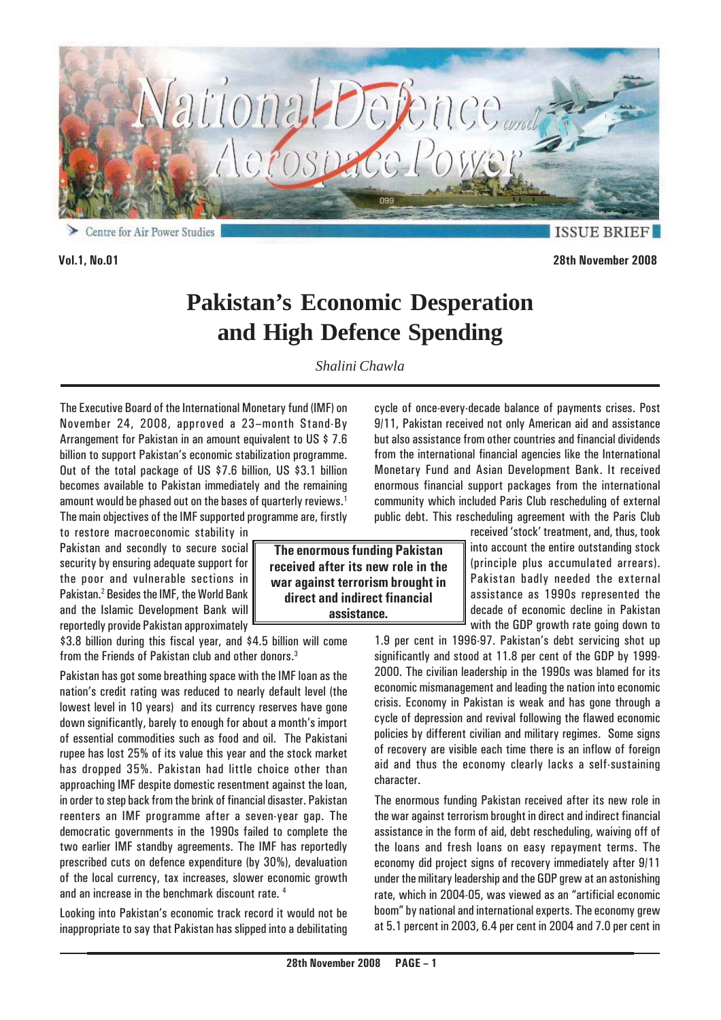

Centre for Air Power Studies

**ISSUE BRIE** 

**Vol.1, No.01 28th November 2008**

# **Pakistan's Economic Desperation and High Defence Spending**

*Shalini Chawla*

The Executive Board of the International Monetary fund (IMF) on November 24, 2008, approved a 23–month Stand-By Arrangement for Pakistan in an amount equivalent to US \$ 7.6 billion to support Pakistan's economic stabilization programme. Out of the total package of US \$7.6 billion, US \$3.1 billion becomes available to Pakistan immediately and the remaining amount would be phased out on the bases of quarterly reviews.<sup>1</sup> The main objectives of the IMF supported programme are, firstly

to restore macroeconomic stability in Pakistan and secondly to secure social security by ensuring adequate support for the poor and vulnerable sections in Pakistan.<sup>2</sup> Besides the IMF, the World Bank and the Islamic Development Bank will reportedly provide Pakistan approximately

\$3.8 billion during this fiscal year, and \$4.5 billion will come from the Friends of Pakistan club and other donors.3

Pakistan has got some breathing space with the IMF loan as the nation's credit rating was reduced to nearly default level (the lowest level in 10 years) and its currency reserves have gone down significantly, barely to enough for about a month's import of essential commodities such as food and oil. The Pakistani rupee has lost 25% of its value this year and the stock market has dropped 35%. Pakistan had little choice other than approaching IMF despite domestic resentment against the loan, in order to step back from the brink of financial disaster. Pakistan reenters an IMF programme after a seven-year gap. The democratic governments in the 1990s failed to complete the two earlier IMF standby agreements. The IMF has reportedly prescribed cuts on defence expenditure (by 30%), devaluation of the local currency, tax increases, slower economic growth and an increase in the benchmark discount rate. 4

Looking into Pakistan's economic track record it would not be inappropriate to say that Pakistan has slipped into a debilitating

**The enormous funding Pakistan received after its new role in the war against terrorism brought in direct and indirect financial assistance.**

cycle of once-every-decade balance of payments crises. Post 9/11, Pakistan received not only American aid and assistance but also assistance from other countries and financial dividends from the international financial agencies like the International Monetary Fund and Asian Development Bank. It received enormous financial support packages from the international community which included Paris Club rescheduling of external public debt. This rescheduling agreement with the Paris Club

received 'stock' treatment, and, thus, took into account the entire outstanding stock (principle plus accumulated arrears). Pakistan badly needed the external assistance as 1990s represented the decade of economic decline in Pakistan with the GDP growth rate going down to

1.9 per cent in 1996-97. Pakistan's debt servicing shot up significantly and stood at 11.8 per cent of the GDP by 1999- 2000. The civilian leadership in the 1990s was blamed for its economic mismanagement and leading the nation into economic crisis. Economy in Pakistan is weak and has gone through a cycle of depression and revival following the flawed economic policies by different civilian and military regimes. Some signs of recovery are visible each time there is an inflow of foreign aid and thus the economy clearly lacks a self-sustaining character.

The enormous funding Pakistan received after its new role in the war against terrorism brought in direct and indirect financial assistance in the form of aid, debt rescheduling, waiving off of the loans and fresh loans on easy repayment terms. The economy did project signs of recovery immediately after 9/11 under the military leadership and the GDP grew at an astonishing rate, which in 2004-05, was viewed as an "artificial economic boom" by national and international experts. The economy grew at 5.1 percent in 2003, 6.4 per cent in 2004 and 7.0 per cent in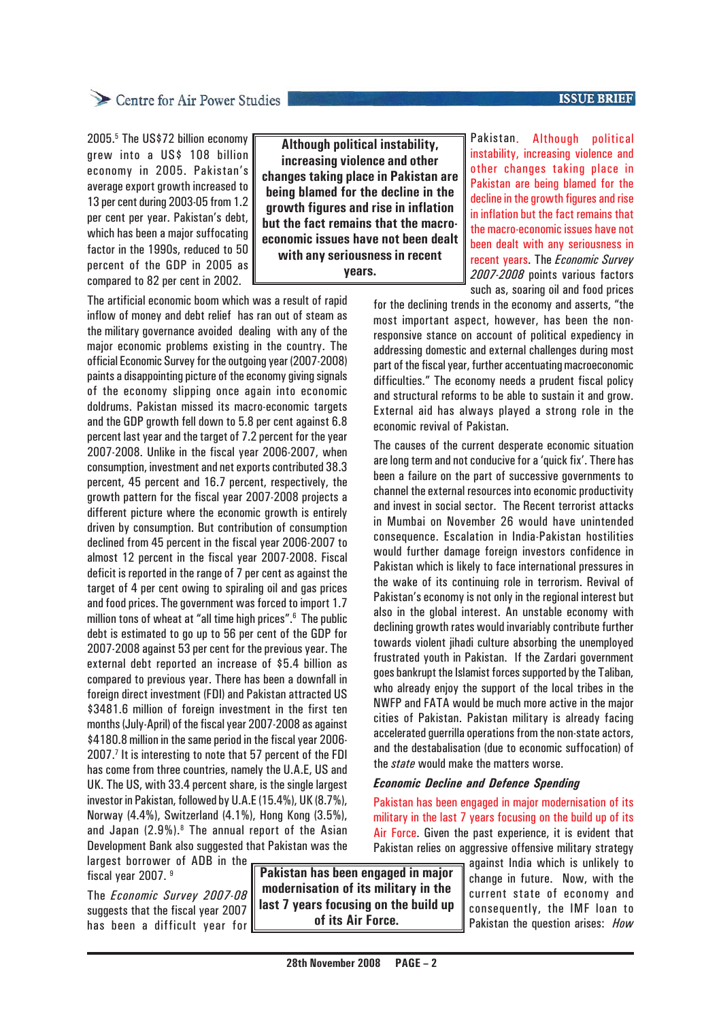#### **ISSUE BRIEF**

### Centre for Air Power Studies

2005.<sup>5</sup> The US\$72 billion economy grew into a US\$ 108 billion economy in 2005. Pakistan's average export growth increased to 13 per cent during 2003-05 from 1.2 per cent per year. Pakistan's debt, which has been a major suffocating factor in the 1990s, reduced to 50 percent of the GDP in 2005 as compared to 82 per cent in 2002.

The artificial economic boom which was a result of rapid inflow of money and debt relief has ran out of steam as the military governance avoided dealing with any of the major economic problems existing in the country. The official Economic Survey for the outgoing year (2007-2008) paints a disappointing picture of the economy giving signals of the economy slipping once again into economic doldrums. Pakistan missed its macro-economic targets and the GDP growth fell down to 5.8 per cent against 6.8 percent last year and the target of 7.2 percent for the year 2007-2008. Unlike in the fiscal year 2006-2007, when consumption, investment and net exports contributed 38.3 percent, 45 percent and 16.7 percent, respectively, the growth pattern for the fiscal year 2007-2008 projects a different picture where the economic growth is entirely driven by consumption. But contribution of consumption declined from 45 percent in the fiscal year 2006-2007 to almost 12 percent in the fiscal year 2007-2008. Fiscal deficit is reported in the range of 7 per cent as against the target of 4 per cent owing to spiraling oil and gas prices and food prices. The government was forced to import 1.7 million tons of wheat at "all time high prices".6 The public debt is estimated to go up to 56 per cent of the GDP for 2007-2008 against 53 per cent for the previous year. The external debt reported an increase of \$5.4 billion as compared to previous year. There has been a downfall in foreign direct investment (FDI) and Pakistan attracted US \$3481.6 million of foreign investment in the first ten months (July-April) of the fiscal year 2007-2008 as against \$4180.8 million in the same period in the fiscal year 2006- 2007.<sup>7</sup> It is interesting to note that 57 percent of the FDI has come from three countries, namely the U.A.E, US and UK. The US, with 33.4 percent share, is the single largest investor in Pakistan, followed by U.A.E (15.4%), UK (8.7%), Norway (4.4%), Switzerland (4.1%), Hong Kong (3.5%), and Japan  $(2.9\%)$ .<sup>8</sup> The annual report of the Asian Development Bank also suggested that Pakistan was the

**Although political instability, increasing violence and other changes taking place in Pakistan are being blamed for the decline in the growth figures and rise in inflation but the fact remains that the macroeconomic issues have not been dealt with any seriousness in recent years.**

Pakistan. Although political instability, increasing violence and other changes taking place in Pakistan are being blamed for the decline in the growth figures and rise in inflation but the fact remains that the macro-economic issues have not been dealt with any seriousness in recent years. The *Economic Survey 2007-2008* points various factors such as, soaring oil and food prices

for the declining trends in the economy and asserts, "the most important aspect, however, has been the nonresponsive stance on account of political expediency in addressing domestic and external challenges during most part of the fiscal year, further accentuating macroeconomic difficulties." The economy needs a prudent fiscal policy and structural reforms to be able to sustain it and grow. External aid has always played a strong role in the economic revival of Pakistan.

The causes of the current desperate economic situation are long term and not conducive for a 'quick fix'. There has been a failure on the part of successive governments to channel the external resources into economic productivity and invest in social sector. The Recent terrorist attacks in Mumbai on November 26 would have unintended consequence. Escalation in India-Pakistan hostilities would further damage foreign investors confidence in Pakistan which is likely to face international pressures in the wake of its continuing role in terrorism. Revival of Pakistan's economy is not only in the regional interest but also in the global interest. An unstable economy with declining growth rates would invariably contribute further towards violent jihadi culture absorbing the unemployed frustrated youth in Pakistan. If the Zardari government goes bankrupt the Islamist forces supported by the Taliban, who already enjoy the support of the local tribes in the NWFP and FATA would be much more active in the major cities of Pakistan. Pakistan military is already facing accelerated guerrilla operations from the non-state actors, and the destabalisation (due to economic suffocation) of the *state* would make the matters worse.

#### *Economic Decline and Defence Spending*

Pakistan has been engaged in major modernisation of its military in the last 7 years focusing on the build up of its Air Force. Given the past experience, it is evident that Pakistan relies on aggressive offensive military strategy

largest borrower of ADB in the fiscal year 2007. 9

The *Economic Survey 2007-08* suggests that the fiscal year 2007 has been a difficult year for

**Pakistan has been engaged in major modernisation of its military in the last 7 years focusing on the build up of its Air Force.**

against India which is unlikely to change in future. Now, with the current state of economy and consequently, the IMF loan to Pakistan the question arises: *How*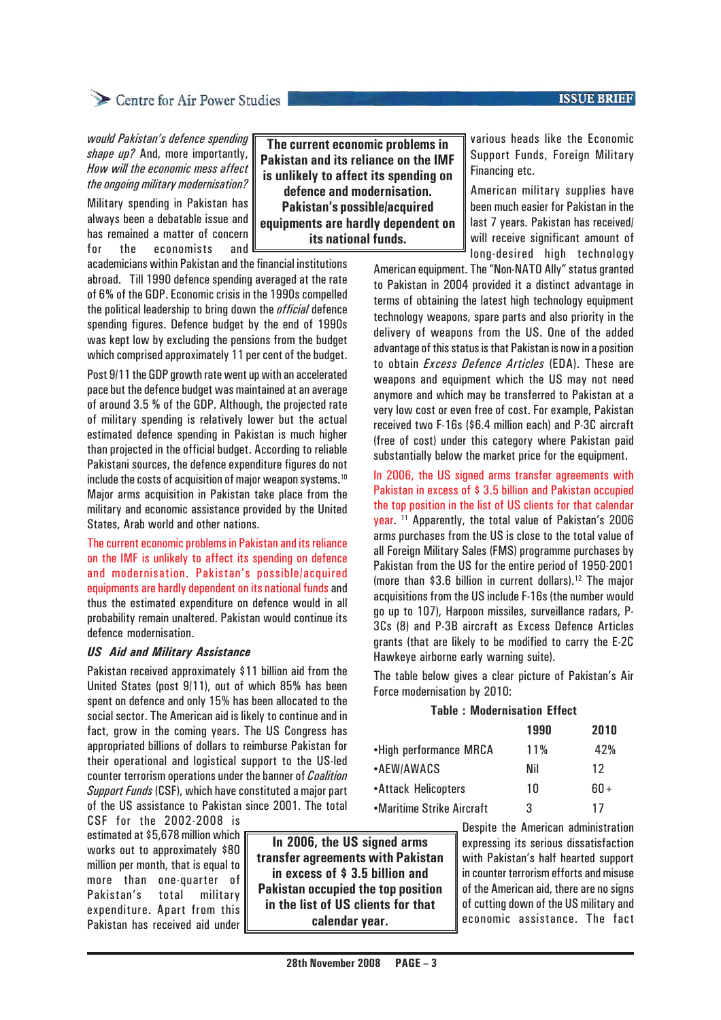#### **ISSUE BRIEF**

## Centre for Air Power Studies

*would Pakistan's defence spending shape up?* And, more importantly, *How will the economic mess affect the ongoing military modernisation?*

Military spending in Pakistan has always been a debatable issue and has remained a matter of concern for the economists and

academicians within Pakistan and the financial institutions abroad. Till 1990 defence spending averaged at the rate of 6% of the GDP. Economic crisis in the 1990s compelled the political leadership to bring down the *official* defence spending figures. Defence budget by the end of 1990s was kept low by excluding the pensions from the budget which comprised approximately 11 per cent of the budget.

Post 9/11 the GDP growth rate went up with an accelerated pace but the defence budget was maintained at an average of around 3.5 % of the GDP. Although, the projected rate of military spending is relatively lower but the actual estimated defence spending in Pakistan is much higher than projected in the official budget. According to reliable Pakistani sources, the defence expenditure figures do not include the costs of acquisition of major weapon systems.<sup>10</sup> Major arms acquisition in Pakistan take place from the military and economic assistance provided by the United States, Arab world and other nations.

The current economic problems in Pakistan and its reliance on the IMF is unlikely to affect its spending on defence and modernisation. Pakistan's possible/acquired equipments are hardly dependent on its national funds and thus the estimated expenditure on defence would in all probability remain unaltered. Pakistan would continue its defence modernisation.

#### *US Aid and Military Assistance*

Pakistan received approximately \$11 billion aid from the United States (post 9/11), out of which 85% has been spent on defence and only 15% has been allocated to the social sector. The American aid is likely to continue and in fact, grow in the coming years. The US Congress has appropriated billions of dollars to reimburse Pakistan for their operational and logistical support to the US-led counter terrorism operations under the banner of *Coalition Support Funds* (CSF), which have constituted a major part of the US assistance to Pakistan since 2001. The total

CSF for the 2002-2008 is estimated at \$5,678 million which works out to approximately \$80 million per month, that is equal to more than one-quarter of Pakistan's total military expenditure. Apart from this Pakistan has received aid under

**In 2006, the US signed arms transfer agreements with Pakistan in excess of \$ 3.5 billion and Pakistan occupied the top position in the list of US clients for that calendar year.**

**The current economic problems in Pakistan and its reliance on the IMF is unlikely to affect its spending on defence and modernisation. Pakistan's possible/acquired equipments are hardly dependent on its national funds.**

various heads like the Economic Support Funds, Foreign Military Financing etc.

American military supplies have been much easier for Pakistan in the last 7 years. Pakistan has received/ will receive significant amount of long-desired high technology

American equipment. The "Non-NATO Ally" status granted to Pakistan in 2004 provided it a distinct advantage in terms of obtaining the latest high technology equipment technology weapons, spare parts and also priority in the delivery of weapons from the US. One of the added advantage of this status is that Pakistan is now in a position to obtain *Excess Defence Articles* (EDA). These are weapons and equipment which the US may not need anymore and which may be transferred to Pakistan at a very low cost or even free of cost. For example, Pakistan received two F-16s (\$6.4 million each) and P-3C aircraft (free of cost) under this category where Pakistan paid substantially below the market price for the equipment.

In 2006, the US signed arms transfer agreements with Pakistan in excess of \$ 3.5 billion and Pakistan occupied the top position in the list of US clients for that calendar year. 11 Apparently, the total value of Pakistan's 2006 arms purchases from the US is close to the total value of all Foreign Military Sales (FMS) programme purchases by Pakistan from the US for the entire period of 1950-2001 (more than \$3.6 billion in current dollars).12 The major acquisitions from the US include F-16s (the number would go up to 107), Harpoon missiles, surveillance radars, P-3Cs (8) and P-3B aircraft as Excess Defence Articles grants (that are likely to be modified to carry the E-2C Hawkeye airborne early warning suite).

The table below gives a clear picture of Pakistan's Air Force modernisation by 2010:

#### **Table : Modernisation Effect**

|                           | 1990   | 2010   |
|---------------------------|--------|--------|
| •High performance MRCA    | $11\%$ | 42%    |
| •AEW/AWACS                | Nil    | 12     |
| •Attack Helicopters       | 10     | $60 +$ |
| •Maritime Strike Aircraft | 3      | 17     |

Despite the American administration expressing its serious dissatisfaction with Pakistan's half hearted support in counter terrorism efforts and misuse of the American aid, there are no signs of cutting down of the US military and economic assistance. The fact